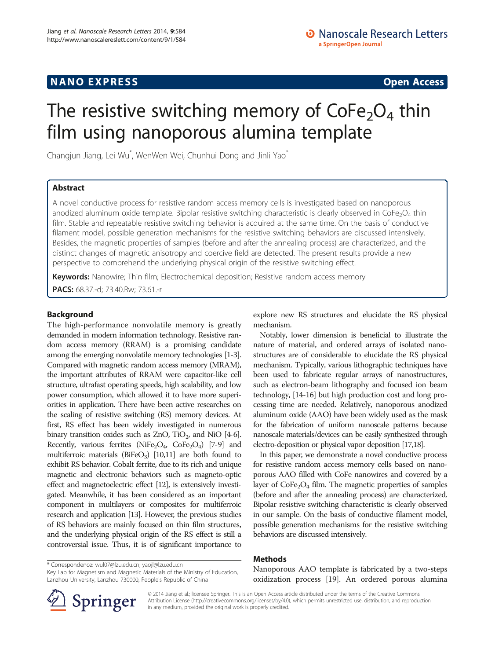## **NANO EXPRESS** Open Access **CONTROL**

# The resistive switching memory of  $\text{CoFe}_2\text{O}_4$  thin film using nanoporous alumina template

Changjun Jiang, Lei Wu<sup>\*</sup>, WenWen Wei, Chunhui Dong and Jinli Yao<sup>\*</sup>

## Abstract

A novel conductive process for resistive random access memory cells is investigated based on nanoporous anodized aluminum oxide template. Bipolar resistive switching characteristic is clearly observed in  $\text{CoFe}_2\text{O}_4$  thin film. Stable and repeatable resistive switching behavior is acquired at the same time. On the basis of conductive filament model, possible generation mechanisms for the resistive switching behaviors are discussed intensively. Besides, the magnetic properties of samples (before and after the annealing process) are characterized, and the distinct changes of magnetic anisotropy and coercive field are detected. The present results provide a new perspective to comprehend the underlying physical origin of the resistive switching effect.

mechanism.

Keywords: Nanowire; Thin film; Electrochemical deposition; Resistive random access memory PACS: 68.37.-d; 73.40.Rw; 73.61.-r

## Background

The high-performance nonvolatile memory is greatly demanded in modern information technology. Resistive random access memory (RRAM) is a promising candidate among the emerging nonvolatile memory technologies [\[1-3\]](#page-3-0). Compared with magnetic random access memory (MRAM), the important attributes of RRAM were capacitor-like cell structure, ultrafast operating speeds, high scalability, and low power consumption, which allowed it to have more superiorities in application. There have been active researches on the scaling of resistive switching (RS) memory devices. At first, RS effect has been widely investigated in numerous binary transition oxides such as  $ZnO$ ,  $TiO<sub>2</sub>$ , and NiO [\[4-6\]](#page-3-0). Recently, various ferrites (NiFe<sub>2</sub>O<sub>4</sub>, CoFe<sub>2</sub>O<sub>4</sub>) [\[7-9\]](#page-3-0) and multiferroic materials ( $BiFeO<sub>3</sub>$ ) [[10,11](#page-3-0)] are both found to exhibit RS behavior. Cobalt ferrite, due to its rich and unique magnetic and electronic behaviors such as magneto-optic effect and magnetoelectric effect [\[12\]](#page-3-0), is extensively investigated. Meanwhile, it has been considered as an important component in multilayers or composites for multiferroic research and application [\[13](#page-3-0)]. However, the previous studies of RS behaviors are mainly focused on thin film structures, and the underlying physical origin of the RS effect is still a controversial issue. Thus, it is of significant importance to

Methods

Key Lab for Magnetism and Magnetic Materials of the Ministry of Education, Lanzhou University, Lanzhou 730000, People's Republic of China

Nanoporous AAO template is fabricated by a two-steps oxidization process [\[19\]](#page-4-0). An ordered porous alumina

explore new RS structures and elucidate the RS physical

Notably, lower dimension is beneficial to illustrate the nature of material, and ordered arrays of isolated nanostructures are of considerable to elucidate the RS physical mechanism. Typically, various lithographic techniques have been used to fabricate regular arrays of nanostructures, such as electron-beam lithography and focused ion beam technology, [\[14-16\]](#page-4-0) but high production cost and long processing time are needed. Relatively, nanoporous anodized aluminum oxide (AAO) have been widely used as the mask for the fabrication of uniform nanoscale patterns because nanoscale materials/devices can be easily synthesized through electro-deposition or physical vapor deposition [[17,18\]](#page-4-0).

In this paper, we demonstrate a novel conductive process for resistive random access memory cells based on nanoporous AAO filled with CoFe nanowires and covered by a layer of  $\text{CoFe}_2\text{O}_4$  film. The magnetic properties of samples (before and after the annealing process) are characterized. Bipolar resistive switching characteristic is clearly observed in our sample. On the basis of conductive filament model, possible generation mechanisms for the resistive switching



© 2014 Jiang et al.; licensee Springer. This is an Open Access article distributed under the terms of the Creative Commons Attribution License [\(http://creativecommons.org/licenses/by/4.0\)](http://creativecommons.org/licenses/by/4.0), which permits unrestricted use, distribution, and reproduction in any medium, provided the original work is properly credited.

behaviors are discussed intensively.

<sup>\*</sup> Correspondence: [wul07@lzu.edu.cn;](mailto:wul07@lzu.edu.cn) [yaojl@lzu.edu.cn](mailto:yaojl@lzu.edu.cn)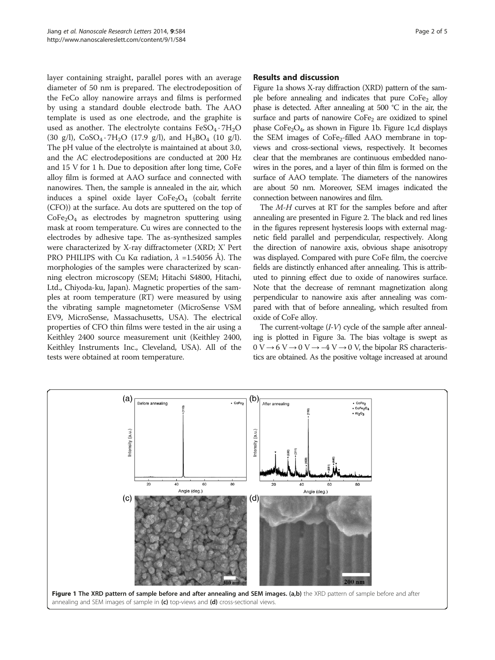layer containing straight, parallel pores with an average diameter of 50 nm is prepared. The electrodeposition of the FeCo alloy nanowire arrays and films is performed by using a standard double electrode bath. The AAO template is used as one electrode, and the graphite is used as another. The electrolyte contains  $FeSO_4 \cdot 7H_2O$ (30 g/l),  $CoSO_4 \tcdot 7H_2O$  (17.9 g/l), and  $H_3BO_4$  (10 g/l). The pH value of the electrolyte is maintained at about 3.0, and the AC electrodepositions are conducted at 200 Hz and 15 V for 1 h. Due to deposition after long time, CoFe alloy film is formed at AAO surface and connected with nanowires. Then, the sample is annealed in the air, which induces a spinel oxide layer  $CoFe<sub>2</sub>O<sub>4</sub>$  (cobalt ferrite (CFO)) at the surface. Au dots are sputtered on the top of  $CoFe<sub>2</sub>O<sub>4</sub>$  as electrodes by magnetron sputtering using mask at room temperature. Cu wires are connected to the electrodes by adhesive tape. The as-synthesized samples were characterized by X-ray diffractometer (XRD; X' Pert PRO PHILIPS with Cu Kα radiation,  $\lambda = 1.54056$  Å). The morphologies of the samples were characterized by scanning electron microscopy (SEM; Hitachi S4800, Hitachi, Ltd., Chiyoda-ku, Japan). Magnetic properties of the samples at room temperature (RT) were measured by using the vibrating sample magnetometer (MicroSense VSM EV9, MicroSense, Massachusetts, USA). The electrical properties of CFO thin films were tested in the air using a Keithley 2400 source measurement unit (Keithley 2400, Keithley Instruments Inc., Cleveland, USA). All of the tests were obtained at room temperature.

#### Results and discussion

Figure 1a shows X-ray diffraction (XRD) pattern of the sample before annealing and indicates that pure  $CoFe<sub>2</sub>$  alloy phase is detected. After annealing at 500 °C in the air, the surface and parts of nanowire  $\text{CoFe}_2$  are oxidized to spinel phase  $\text{CoFe}_2\text{O}_4$ , as shown in Figure 1b. Figure 1c,d displays the SEM images of  $CoFe<sub>2</sub>-filled$  AAO membrane in topviews and cross-sectional views, respectively. It becomes clear that the membranes are continuous embedded nanowires in the pores, and a layer of thin film is formed on the surface of AAO template. The diameters of the nanowires are about 50 nm. Moreover, SEM images indicated the connection between nanowires and film.

The M-H curves at RT for the samples before and after annealing are presented in Figure [2](#page-2-0). The black and red lines in the figures represent hysteresis loops with external magnetic field parallel and perpendicular, respectively. Along the direction of nanowire axis, obvious shape anisotropy was displayed. Compared with pure CoFe film, the coercive fields are distinctly enhanced after annealing. This is attributed to pinning effect due to oxide of nanowires surface. Note that the decrease of remnant magnetization along perpendicular to nanowire axis after annealing was compared with that of before annealing, which resulted from oxide of CoFe alloy.

The current-voltage  $(I-V)$  cycle of the sample after annealing is plotted in Figure [3](#page-2-0)a. The bias voltage is swept as  $0 V \rightarrow 6 V \rightarrow 0 V \rightarrow -4 V \rightarrow 0 V$ , the bipolar RS characteristics are obtained. As the positive voltage increased at around

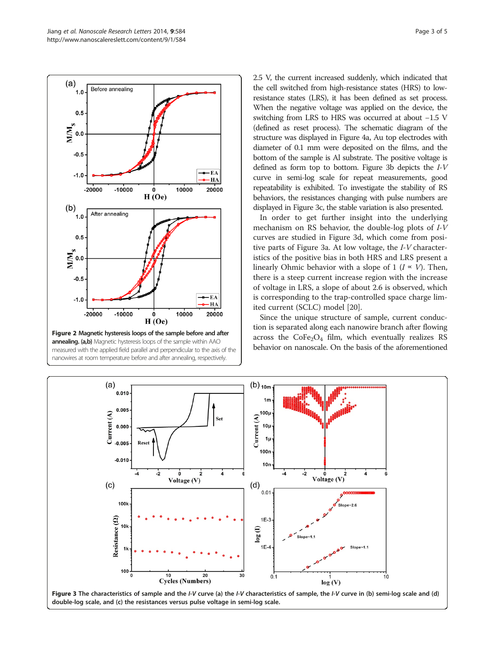<span id="page-2-0"></span>

measured with the applied field parallel and perpendicular to the axis of the nanowires at room temperature before and after annealing, respectively.

2.5 V, the current increased suddenly, which indicated that the cell switched from high-resistance states (HRS) to lowresistance states (LRS), it has been defined as set process. When the negative voltage was applied on the device, the switching from LRS to HRS was occurred at about −1.5 V (defined as reset process). The schematic diagram of the structure was displayed in Figure [4](#page-3-0)a, Au top electrodes with diameter of 0.1 mm were deposited on the films, and the bottom of the sample is Al substrate. The positive voltage is defined as form top to bottom. Figure 3b depicts the I-V curve in semi-log scale for repeat measurements, good repeatability is exhibited. To investigate the stability of RS behaviors, the resistances changing with pulse numbers are displayed in Figure 3c, the stable variation is also presented.

In order to get further insight into the underlying mechanism on RS behavior, the double-log plots of I-V curves are studied in Figure 3d, which come from positive parts of Figure 3a. At low voltage, the I-V characteristics of the positive bias in both HRS and LRS present a linearly Ohmic behavior with a slope of 1 ( $I \propto V$ ). Then, there is a steep current increase region with the increase of voltage in LRS, a slope of about 2.6 is observed, which is corresponding to the trap-controlled space charge limited current (SCLC) model [[20\]](#page-4-0).

Since the unique structure of sample, current conduction is separated along each nanowire branch after flowing across the  $\text{CoFe}_2\text{O}_4$  film, which eventually realizes RS behavior on nanoscale. On the basis of the aforementioned

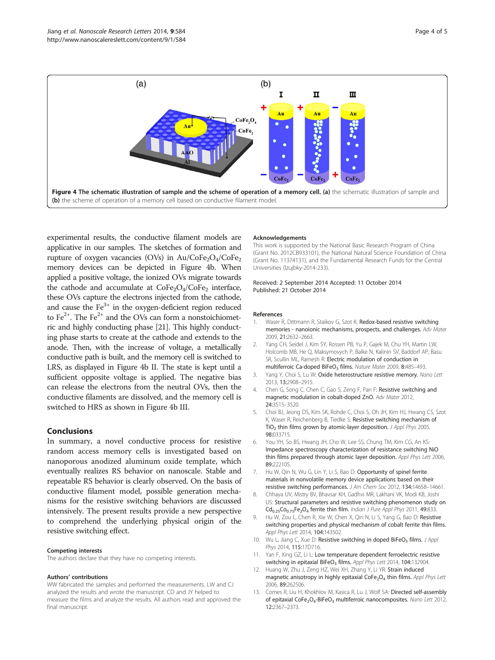<span id="page-3-0"></span>

experimental results, the conductive filament models are applicative in our samples. The sketches of formation and rupture of oxygen vacancies (OVs) in  $Au/CoFe<sub>2</sub>O<sub>4</sub>/CoFe<sub>2</sub>$ memory devices can be depicted in Figure 4b. When applied a positive voltage, the ionized OVs migrate towards the cathode and accumulate at  $\text{CoFe}_2\text{O}_4/\text{CoFe}_2$  interface, these OVs capture the electrons injected from the cathode, and cause the  $Fe<sup>3+</sup>$  in the oxygen-deficient region reduced to  $Fe^{2+}$ . The  $Fe^{2+}$  and the OVs can form a nonstoichiometric and highly conducting phase [\[21\]](#page-4-0). This highly conducting phase starts to create at the cathode and extends to the anode. Then, with the increase of voltage, a metallically conductive path is built, and the memory cell is switched to LRS, as displayed in Figure 4b II. The state is kept until a sufficient opposite voltage is applied. The negative bias can release the electrons from the neutral OVs, then the conductive filaments are dissolved, and the memory cell is switched to HRS as shown in Figure 4b III.

### Conclusions

In summary, a novel conductive process for resistive random access memory cells is investigated based on nanoporous anodized aluminum oxide template, which eventually realizes RS behavior on nanoscale. Stable and repeatable RS behavior is clearly observed. On the basis of conductive filament model, possible generation mechanisms for the resistive switching behaviors are discussed intensively. The present results provide a new perspective to comprehend the underlying physical origin of the resistive switching effect.

#### Competing interests

The authors declare that they have no competing interests.

#### Authors' contributions

WW fabricated the samples and performed the measurements. LW and CJ analyzed the results and wrote the manuscript. CD and JY helped to measure the films and analyze the results. All authors read and approved the final manuscript.

#### Acknowledgements

This work is supported by the National Basic Research Program of China (Grant No. 2012CB933101), the National Natural Science Foundation of China (Grant No. 11374131), and the Fundamental Research Funds for the Central Universities (lzujbky-2014-233).

#### Received: 2 September 2014 Accepted: 11 October 2014 Published: 21 October 2014

#### References

- 1. Waser R, Dittmann R, Staikov G, Szot K; Redox-based resistive switching memories - nanoionic mechanisms, prospects, and challenges. Adv Mater 2009, 21:2632–2663.
- 2. Yang CH, Seidel J, Kim SY, Rossen PB, Yu P, Gajek M, Chu YH, Martin LW, Holcomb MB, He Q, Maksymovych P, Balke N, Kalinin SV, Baddorf AP, Basu SR, Scullin ML, Ramesh R: Electric modulation of conduction in multiferroic Ca-doped BiFeO<sub>3</sub> films. Nature Mater 2009, 8:485-493.
- 3. Yang Y, Choi S, Lu W: Oxide heterostructure resistive memory. Nano Lett 2013, 13:2908–2915.
- 4. Chen G, Song C, Chen C, Gao S, Zeng F, Pan F: Resistive switching and magnetic modulation in cobalt-doped ZnO. Adv Mater 2012, 24:3515–3520.
- 5. Choi BJ, Jeong DS, Kim SK, Rohde C, Choi S, Oh JH, Kim HJ, Hwang CS, Szot K, Waser R, Reichenberg B, Tiedke S: Resistive switching mechanism of TiO<sub>2</sub> thin films grown by atomic-layer deposition. J Appl Phys 2005, 98:033715.
- 6. You YH, So BS, Hwang JH, Cho W, Lee SS, Chung TM, Kim CG, An KS: Impedance spectroscopy characterization of resistance switching NiO thin films prepared through atomic layer deposition. Appl Phys Lett 2006, 89:222105.
- 7. Hu W, Qin N, Wu G, Lin Y, Li S, Bao D: Opportunity of spinel ferrite materials in nonvolatile memory device applications based on their resistive switching performances. J Am Chem Soc 2012, 134:14658–14661.
- 8. Chhaya UV, Mistry BV, Bhavsar KH, Gadhvi MR, Lakhani VK, Modi KB, Joshi US: Structural parameters and resistive switching phenomenon study on  $Cd_{0.25}Co_{0.75}Fe_2O_4$  ferrite thin film. Indian J Pure Appl Phys 2011, 49:833.
- 9. Hu W, Zou L, Chen R, Xie W, Chen X, Qin N, Li S, Yang G, Bao D: Resistive switching properties and physical mechanism of cobalt ferrite thin films. Appl Phys Lett 2014, 104:143502.
- 10. Wu L, Jiang C, Xue D: Resistive switching in doped BiFeO<sub>3</sub> films. J Appl Phys 2014, 115:17D716.
- 11. Yan F, Xing GZ, Li L: Low temperature dependent ferroelectric resistive switching in epitaxial BiFeO<sub>3</sub> films. Appl Phys Lett 2014, 104:132904.
- 12. Huang W, Zhu J, Zeng HZ, Wei XH, Zhang Y, Li YR: Strain induced magnetic anisotropy in highly epitaxial  $\text{CoFe}_2\text{O}_4$  thin films. Appl Phys Lett 2006, 89:262506.
- 13. Comes R, Liu H, Khokhlov M, Kasica R, Lu J, Wolf SA: Directed self-assembly of epitaxial CoFe<sub>2</sub>O<sub>4</sub>-BiFeO<sub>3</sub> multiferroic nanocomposites. Nano Lett 2012, 12:2367–2373.